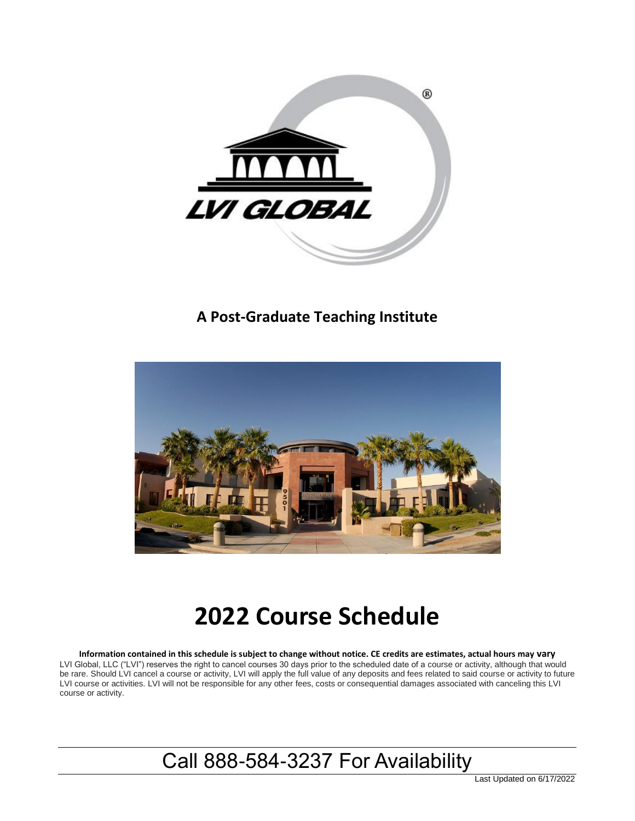

### **A Post-Graduate Teaching Institute**



# **2022 Course Schedule**

**Information contained in this schedule is subject to change without notice. CE credits are estimates, actual hours may vary** LVI Global, LLC ("LVI") reserves the right to cancel courses 30 days prior to the scheduled date of a course or activity, although that would be rare. Should LVI cancel a course or activity, LVI will apply the full value of any deposits and fees related to said course or activity to future LVI course or activities. LVI will not be responsible for any other fees, costs or consequential damages associated with canceling this LVI course or activity.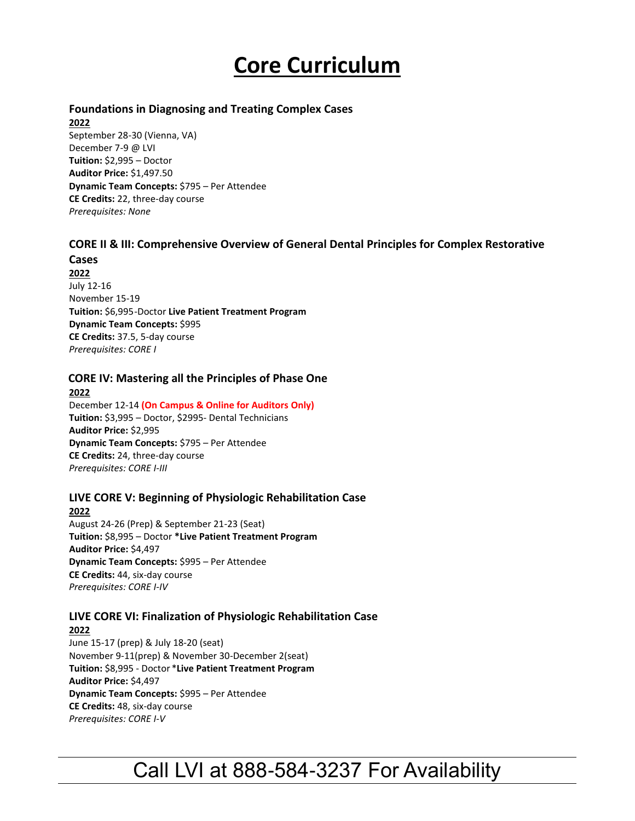# **Core Curriculum**

#### **Foundations in Diagnosing and Treating Complex Cases**

**2022**

September 28-30 (Vienna, VA) December 7-9 @ LVI **Tuition:** \$2,995 – Doctor **Auditor Price:** \$1,497.50 **Dynamic Team Concepts:** \$795 – Per Attendee **CE Credits:** 22, three-day course *Prerequisites: None*

#### **CORE II & III: Comprehensive Overview of General Dental Principles for Complex Restorative**

**Cases 2022** July 12-16 November 15-19 **Tuition:** \$6,995-Doctor **Live Patient Treatment Program Dynamic Team Concepts:** \$995 **CE Credits:** 37.5, 5-day course *Prerequisites: CORE I*

#### **CORE IV: Mastering all the Principles of Phase One**

**2022** December 12-14 **(On Campus & Online for Auditors Only) Tuition:** \$3,995 – Doctor, \$2995- Dental Technicians **Auditor Price:** \$2,995 **Dynamic Team Concepts:** \$795 – Per Attendee **CE Credits:** 24, three-day course *Prerequisites: CORE I-III*

### **LIVE CORE V: Beginning of Physiologic Rehabilitation Case**

**2022** August 24-26 (Prep) & September 21-23 (Seat) **Tuition:** \$8,995 – Doctor **\*Live Patient Treatment Program Auditor Price:** \$4,497 **Dynamic Team Concepts:** \$995 – Per Attendee **CE Credits:** 44, six-day course *Prerequisites: CORE I-IV*

### **LIVE CORE VI: Finalization of Physiologic Rehabilitation Case**

**2022** June 15-17 (prep) & July 18-20 (seat) November 9-11(prep) & November 30-December 2(seat) **Tuition:** \$8,995 - Doctor \***Live Patient Treatment Program Auditor Price:** \$4,497 **Dynamic Team Concepts:** \$995 – Per Attendee **CE Credits:** 48, six-day course *Prerequisites: CORE I-V*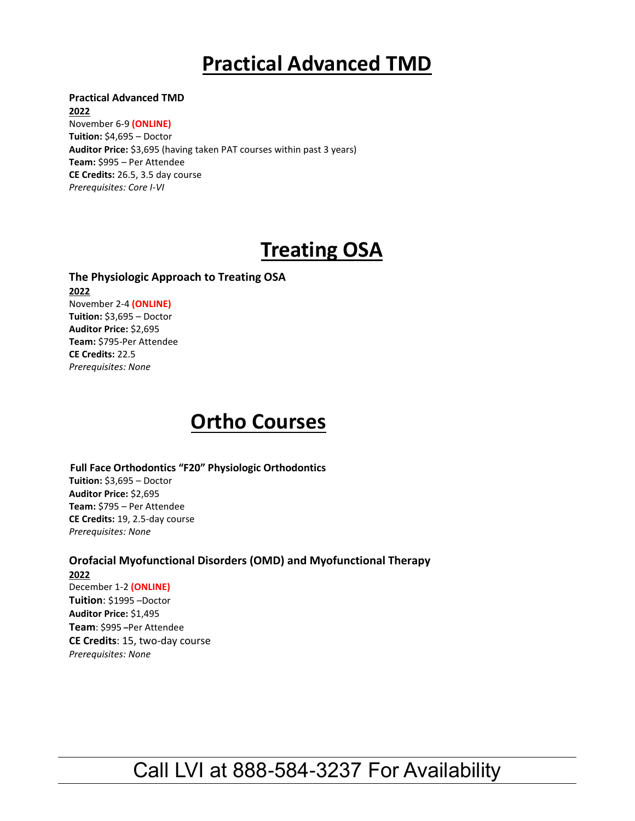## **Practical Advanced TMD**

**Practical Advanced TMD** 

**2022** November 6-9 **(ONLINE) Tuition:** \$4,695 – Doctor **Auditor Price:** \$3,695 (having taken PAT courses within past 3 years) **Team:** \$995 – Per Attendee **CE Credits:** 26.5, 3.5 day course *Prerequisites: Core I-VI*

# **Treating OSA**

**The Physiologic Approach to Treating OSA 2022** November 2-4 **(ONLINE) Tuition:** \$3,695 – Doctor **Auditor Price:** \$2,695 **Team:** \$795-Per Attendee **CE Credits:** 22.5 *Prerequisites: None*

## **Ortho Courses**

 **Full Face Orthodontics "F20" Physiologic Orthodontics Tuition:** \$3,695 – Doctor **Auditor Price:** \$2,695 **Team:** \$795 – Per Attendee **CE Credits:** 19, 2.5-day course *Prerequisites: None*

**Orofacial Myofunctional Disorders (OMD) and Myofunctional Therapy 2022** December 1-2 **(ONLINE) Tuition**: \$1995 –Doctor **Auditor Price:** \$1,495 **Team**: \$995 **–**Per Attendee **CE Credits**: 15, two-day course *Prerequisites: None*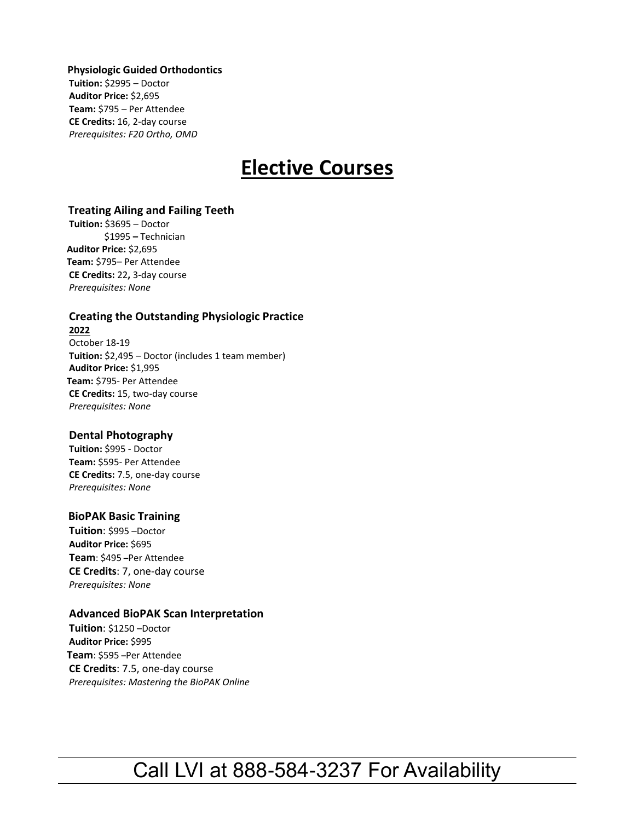**Physiologic Guided Orthodontics Tuition:** \$2995 – Doctor **Auditor Price:** \$2,695 **Team:** \$795 – Per Attendee **CE Credits:** 16, 2-day course *Prerequisites: F20 Ortho, OMD* 

## **Elective Courses**

#### **Treating Ailing and Failing Teeth**

 **Tuition:** \$3695 – Doctor \$1995 **–** Technician  **Auditor Price:** \$2,695 **Team:** \$795– Per Attendee **CE Credits:** 22**,** 3-day course *Prerequisites: None*

#### **Creating the Outstanding Physiologic Practice 2022**

October 18-19 **Tuition:** \$2,495 – Doctor (includes 1 team member) **Auditor Price:** \$1,995 **Team:** \$795- Per Attendee **CE Credits:** 15, two-day course *Prerequisites: None*

#### **Dental Photography**

**Tuition:** \$995 - Doctor **Team:** \$595- Per Attendee **CE Credits:** 7.5, one-day course *Prerequisites: None*

#### **BioPAK Basic Training**

**Tuition**: \$995 –Doctor **Auditor Price:** \$695 **Team**: \$495 **–**Per Attendee **CE Credits**: 7, one-day course *Prerequisites: None* 

#### **Advanced BioPAK Scan Interpretation**

**Tuition**: \$1250 –Doctor **Auditor Price:** \$995 **Team**: \$595 **–**Per Attendee **CE Credits**: 7.5, one-day course *Prerequisites: Mastering the BioPAK Online*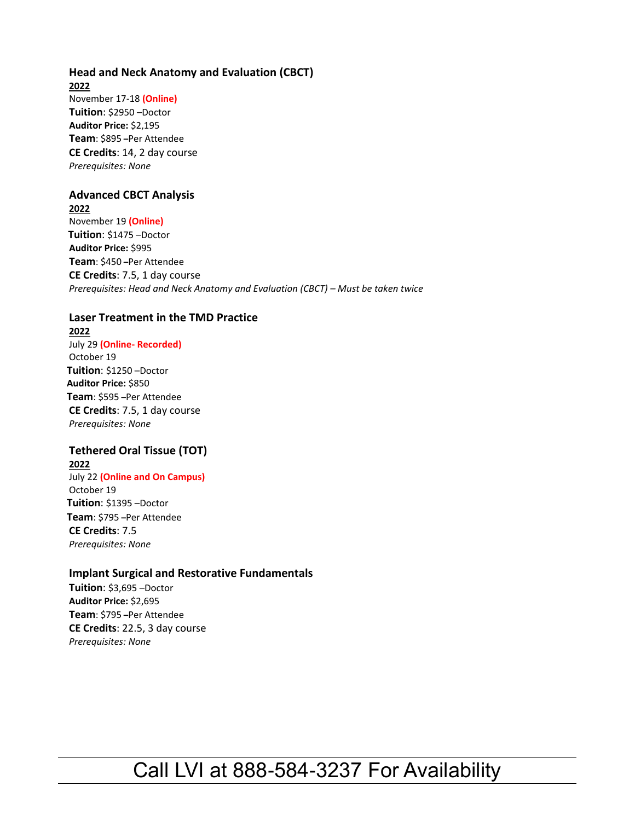#### **Head and Neck Anatomy and Evaluation (CBCT) 2022** November 17-18 **(Online) Tuition**: \$2950 –Doctor **Auditor Price:** \$2,195 **Team**: \$895 **–**Per Attendee **CE Credits**: 14, 2 day course *Prerequisites: None*

#### **Advanced CBCT Analysis**

**2022** November 19 **(Online) Tuition**: \$1475 –Doctor  **Auditor Price:** \$995 **Team**: \$450 **–**Per Attendee **CE Credits**: 7.5, 1 day course *Prerequisites: Head and Neck Anatomy and Evaluation (CBCT) – Must be taken twice* 

### **Laser Treatment in the TMD Practice**

**2022** July 29 **(Online- Recorded)** October 19  **Tuition**: \$1250 –Doctor  **Auditor Price:** \$850 **Team**: \$595 **–**Per Attendee **CE Credits**: 7.5, 1 day course *Prerequisites: None* 

### **Tethered Oral Tissue (TOT)**

**2022** July 22 **(Online and On Campus)** October 19  **Tuition**: \$1395 –Doctor **Team**: \$795 **–**Per Attendee **CE Credits**: 7.5 *Prerequisites: None* 

#### **Implant Surgical and Restorative Fundamentals**

**Tuition**: \$3,695 –Doctor **Auditor Price:** \$2,695 **Team**: \$795 **–**Per Attendee **CE Credits**: 22.5, 3 day course *Prerequisites: None*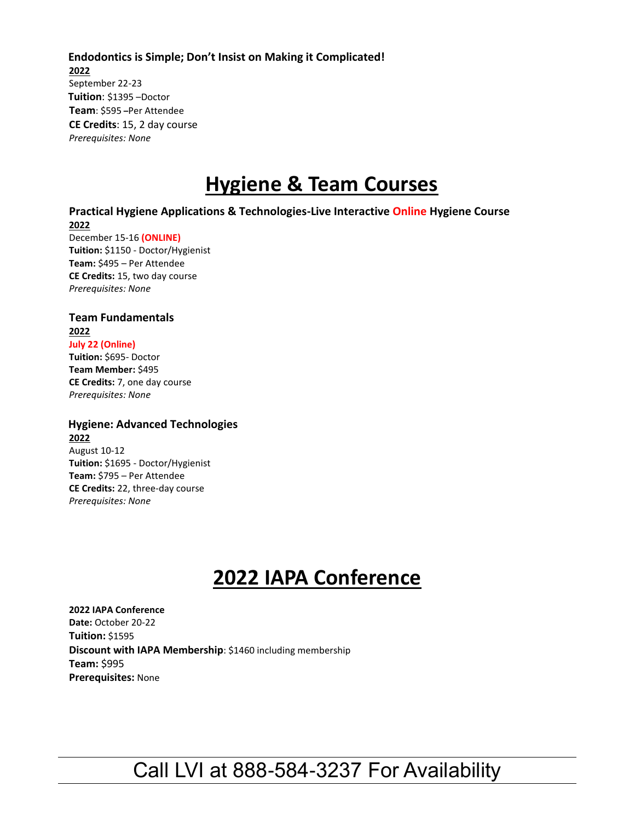**Endodontics is Simple; Don't Insist on Making it Complicated! 2022** September 22-23  **Tuition**: \$1395 –Doctor **Team**: \$595 **–**Per Attendee **CE Credits**: 15, 2 day course *Prerequisites: None* 

### **Hygiene & Team Courses**

#### **Practical Hygiene Applications & Technologies-Live Interactive Online Hygiene Course 2022**

December 15-16 **(ONLINE) Tuition:** \$1150 - Doctor/Hygienist **Team:** \$495 – Per Attendee **CE Credits:** 15, two day course *Prerequisites: None*

#### **Team Fundamentals 2022 July 22 (Online)**

**Tuition:** \$695- Doctor **Team Member:** \$495 **CE Credits:** 7, one day course *Prerequisites: None*

*Prerequisites: None*

#### **Hygiene: Advanced Technologies 2022** August 10-12 **Tuition:** \$1695 - Doctor/Hygienist **Team:** \$795 – Per Attendee **CE Credits:** 22, three-day course

## **2022 IAPA Conference**

**2022 IAPA Conference Date:** October 20-22 **Tuition:** \$1595 **Discount with IAPA Membership**: \$1460 including membership **Team:** \$995 **Prerequisites:** None